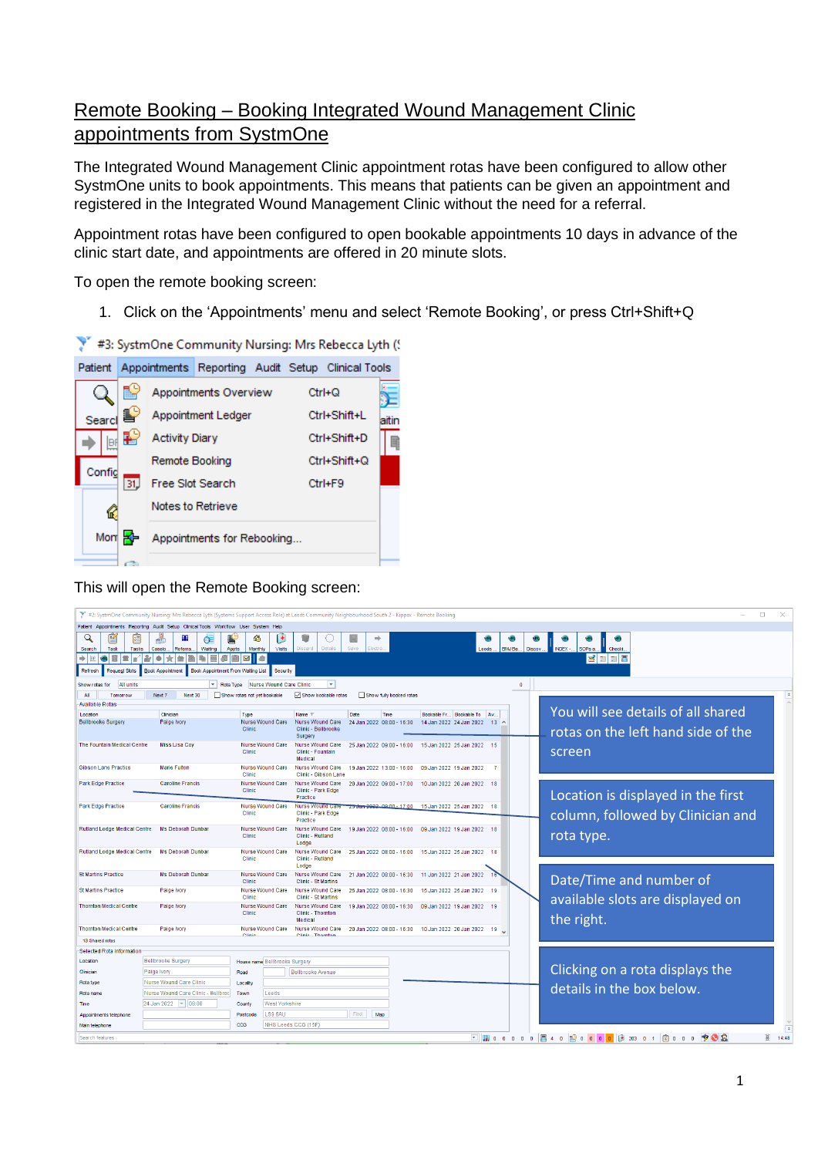## Remote Booking – Booking Integrated Wound Management Clinic appointments from SystmOne

The Integrated Wound Management Clinic appointment rotas have been configured to allow other SystmOne units to book appointments. This means that patients can be given an appointment and registered in the Integrated Wound Management Clinic without the need for a referral.

Appointment rotas have been configured to open bookable appointments 10 days in advance of the clinic start date, and appointments are offered in 20 minute slots.

To open the remote booking screen:

1. Click on the 'Appointments' menu and select 'Remote Booking', or press Ctrl+Shift+Q



This will open the Remote Booking screen:

|                                                                                                                               | #2: SystmOne Community Nursing: Mrs Rebecca Lyth (Systems Support Access Role) at Leeds Community Neighbourhood South 2 - Kippax - Remote Booking |                                                  |                                            |                                                    |                                  |                                                          |                    |                                                                                                                                                                                                                                                                                                                                                                                                                                                | $\Box$<br>$\times$ |
|-------------------------------------------------------------------------------------------------------------------------------|---------------------------------------------------------------------------------------------------------------------------------------------------|--------------------------------------------------|--------------------------------------------|----------------------------------------------------|----------------------------------|----------------------------------------------------------|--------------------|------------------------------------------------------------------------------------------------------------------------------------------------------------------------------------------------------------------------------------------------------------------------------------------------------------------------------------------------------------------------------------------------------------------------------------------------|--------------------|
|                                                                                                                               | Patient Appointments Reporting Audit Setup Clinical Tools Workflow User System                                                                    |                                                  |                                            |                                                    |                                  |                                                          |                    |                                                                                                                                                                                                                                                                                                                                                                                                                                                |                    |
| $\mathcal{Q}$<br>Task<br>Tasks<br>Search<br>$\Rightarrow$    se<br>8<br>l se<br><b>URL</b><br><b>Request Slots</b><br>Refresh | đ<br>Œ<br>Referra<br>Waiting<br>Caselo.<br>۰<br><b>Book Appointment</b><br>Book Appointment From Waiting List                                     | ۵<br>Appts<br>Monthly<br>$\overline{\mathbf{v}}$ | H<br><b>Visits</b><br><b>A</b><br>Security | Details<br><b>Discard</b>                          | $\Rightarrow$<br>Save<br>Electro | Leeds                                                    | BMJ Be.<br>Discov. | NDEX -.<br>Checki.<br>SOPs a<br><b>ZEE</b> S                                                                                                                                                                                                                                                                                                                                                                                                   |                    |
|                                                                                                                               |                                                                                                                                                   |                                                  |                                            |                                                    |                                  |                                                          |                    |                                                                                                                                                                                                                                                                                                                                                                                                                                                |                    |
| All units<br>Show rotas for                                                                                                   | $\mathbf{R}$ Rota Type                                                                                                                            |                                                  | Nurse Wound Care Clinic                    | $\overline{\phantom{a}}$                           |                                  |                                                          | $\overline{0}$     |                                                                                                                                                                                                                                                                                                                                                                                                                                                |                    |
| All<br>Tomorrow<br><b>Available Rotas</b>                                                                                     | Next 7<br>Next 30                                                                                                                                 | Show rotas not yet bookable                      |                                            | Show bookable rotas                                | Show fully booked rotas          |                                                          |                    |                                                                                                                                                                                                                                                                                                                                                                                                                                                |                    |
| Location                                                                                                                      | Clinician                                                                                                                                         | Type                                             |                                            | Name $\nabla$                                      | Date<br>Time                     | Bookable Fr Bookable To Av                               |                    | You will see details of all shared                                                                                                                                                                                                                                                                                                                                                                                                             |                    |
| <b>Bellbrooke Surgery</b>                                                                                                     | Paige Ivory                                                                                                                                       | Clinic                                           | Nurse Wound Care                           | Nurse Wound Care<br>Clinic - Bellbrooke<br>Surgen  | 24 Jan 2022 08:00 - 16:30        | 14 Jan 2022 24 Jan 2022 13 ^                             |                    | rotas on the left hand side of the                                                                                                                                                                                                                                                                                                                                                                                                             |                    |
| The Fountain Medical Centre                                                                                                   | <b>Miss Lisa Cov</b>                                                                                                                              | Clinic                                           | Nurse Wound Care                           | Nurse Wound Care<br>Clinic - Fountain<br>Medical   | 25 Jan 2022 09:00 - 16:00        | 15 Jan 2022 25 Jan 2022 15                               |                    | screen                                                                                                                                                                                                                                                                                                                                                                                                                                         |                    |
| <b>Gibson Lane Practice</b>                                                                                                   | <b>Marie Fulton</b>                                                                                                                               | Clinic                                           | Nurse Wound Care                           | Nurse Wound Care<br>Clinic - Gibson Lane           | 19 Jan 2022 13:00 - 16:00        | 09 Jan 2022 19 Jan 2022                                  |                    |                                                                                                                                                                                                                                                                                                                                                                                                                                                |                    |
| Park Edge Practice                                                                                                            | <b>Caroline Francis</b>                                                                                                                           | Clinic                                           | Nurse Wound Care                           | Nurse Wound Care<br>Clinic - Park Edge<br>Practice | 20 Jan 2022 09:00 - 17:00        | 10 Jan 2022 20 Jan 2022 18                               |                    | Location is displayed in the first                                                                                                                                                                                                                                                                                                                                                                                                             |                    |
| <b>Park Edge Practice</b>                                                                                                     | <b>Caroline Francis</b>                                                                                                                           | Clinic                                           | Nurse Wound Care                           | Nurse Wound Care<br>Clinic - Park Edge<br>Practice | 25 den 2022, 09:00 - 17:00       | 15 Jan 2022 25 Jan 2022 18                               |                    | column, followed by Clinician and                                                                                                                                                                                                                                                                                                                                                                                                              |                    |
| Rutland Lodge Medical Centre                                                                                                  | Ms Deborah Dunbar                                                                                                                                 | Clinic                                           | <b>Nurse Wound Care</b>                    | Nurse Wound Care<br>Clinic - Rutland<br>Lodge      | 19 Jan 2022 08:00 - 16:00        | 09 Jan 2022 19 Jan 2022 18                               |                    | rota type.                                                                                                                                                                                                                                                                                                                                                                                                                                     |                    |
| Rutland Lodge Medical Centre                                                                                                  | Ms Deborah Dunbar                                                                                                                                 | Clinic                                           | Nurse Wound Care                           | Nurse Wound Care<br>Clinic - Rutland<br>Lodge      | 25 Jan 2022 08:00 - 16:00        | 15 Jan 2022 25 Jan 2022 18                               |                    |                                                                                                                                                                                                                                                                                                                                                                                                                                                |                    |
| <b>St Martins Practice</b>                                                                                                    | Ms Deborah Dunbar                                                                                                                                 | Clinic                                           | Nurse Wound Care                           | Nurse Wound Care<br>Clinic - St Martins            |                                  | 21 Jan 2022 08:00 - 16:30 11 Jan 2022 21 Jan 2022        |                    | Date/Time and number of                                                                                                                                                                                                                                                                                                                                                                                                                        |                    |
| <b>St Martins Practice</b>                                                                                                    | Paige Ivory                                                                                                                                       | Clinic                                           | Nurse Wound Care                           | Nurse Wound Care<br>Clinic - St Martins            | 25 Jan 2022 08:00 - 16:30        | 15 Jan 2022 25 Jan 2022 19                               |                    | available slots are displayed on                                                                                                                                                                                                                                                                                                                                                                                                               |                    |
| <b>Thornton Medical Centre</b>                                                                                                | Paige Ivory                                                                                                                                       | Clinic                                           | Nurse Wound Care                           | Nurse Wound Care<br>Clinic - Thornton<br>Medical   | 19 Jan 2022 08:00 - 16:30        | 09 Jan 2022 19 Jan 2022 19                               |                    | the right.                                                                                                                                                                                                                                                                                                                                                                                                                                     |                    |
| <b>Thornton Medical Centre</b>                                                                                                | Paige Ivory                                                                                                                                       | Clini                                            | Nurse Wound Care                           | Nurse Wound Care<br>Clinic Thornto                 |                                  | 20 Jan 2022 08:00 - 16:30 10 Jan 2022 20 Jan 2022 19 Jul |                    |                                                                                                                                                                                                                                                                                                                                                                                                                                                |                    |
| 13 Shared rotas                                                                                                               |                                                                                                                                                   |                                                  |                                            |                                                    |                                  |                                                          |                    |                                                                                                                                                                                                                                                                                                                                                                                                                                                |                    |
| <b>Selected Rota Information</b>                                                                                              |                                                                                                                                                   |                                                  |                                            |                                                    |                                  |                                                          |                    |                                                                                                                                                                                                                                                                                                                                                                                                                                                |                    |
| Location                                                                                                                      | <b>Bellbrooke Surgery</b>                                                                                                                         |                                                  | House name Bellbrooke Surgery              |                                                    |                                  |                                                          |                    | Clicking on a rota displays the                                                                                                                                                                                                                                                                                                                                                                                                                |                    |
| Clinician                                                                                                                     | Paige Ivory                                                                                                                                       | Road                                             |                                            | Bellbrooke Avenue                                  |                                  |                                                          |                    |                                                                                                                                                                                                                                                                                                                                                                                                                                                |                    |
| Rota type                                                                                                                     | Nurse Wound Care Clinic                                                                                                                           | Locality                                         |                                            |                                                    |                                  |                                                          |                    | details in the box below.                                                                                                                                                                                                                                                                                                                                                                                                                      |                    |
| Rota name                                                                                                                     | Nurse Wound Care Clinic - Bellbroc                                                                                                                | Town                                             | Leeds                                      |                                                    |                                  |                                                          |                    |                                                                                                                                                                                                                                                                                                                                                                                                                                                |                    |
| Time                                                                                                                          | 24 Jan 2022   v   08:00                                                                                                                           | County                                           | <b>West Yorkshire</b>                      |                                                    |                                  |                                                          |                    |                                                                                                                                                                                                                                                                                                                                                                                                                                                |                    |
| Appointments telephone                                                                                                        |                                                                                                                                                   | Postcode                                         | LS9 6AU                                    |                                                    | Find<br>Map                      |                                                          |                    |                                                                                                                                                                                                                                                                                                                                                                                                                                                |                    |
| Main telephone                                                                                                                |                                                                                                                                                   | CCG                                              |                                            | NHS Leeds CCG (15F)                                |                                  |                                                          |                    |                                                                                                                                                                                                                                                                                                                                                                                                                                                | Ē                  |
| Search features                                                                                                               |                                                                                                                                                   |                                                  |                                            |                                                    |                                  |                                                          |                    | $\boxed{\blacksquare\blacksquare\hspace{-1.25mm}\blacksquare\hspace{-1.25mm}\blacksquare\hspace{-1.25mm}\mathbb{C}\hspace{-1.25mm}\mathbb{C}\hspace{-1.25mm}\mathbb{C}\hspace{-1.25mm}\mathbb{C}\hspace{-1.25mm}\mathbb{C}\hspace{-1.25mm}\mathbb{C}\hspace{-1.25mm}\mathbb{C}\hspace{-1.25mm}\mathbb{C}\hspace{-1.25mm}\mathbb{C}\hspace{-1.25mm}\mathbb{C}\hspace{-1.25mm}\mathbb{C}\hspace{-1.25mm}\mathbb{C}\hspace{-1.25mm}\mathbb{C}\hs$ | 寠<br>14:48         |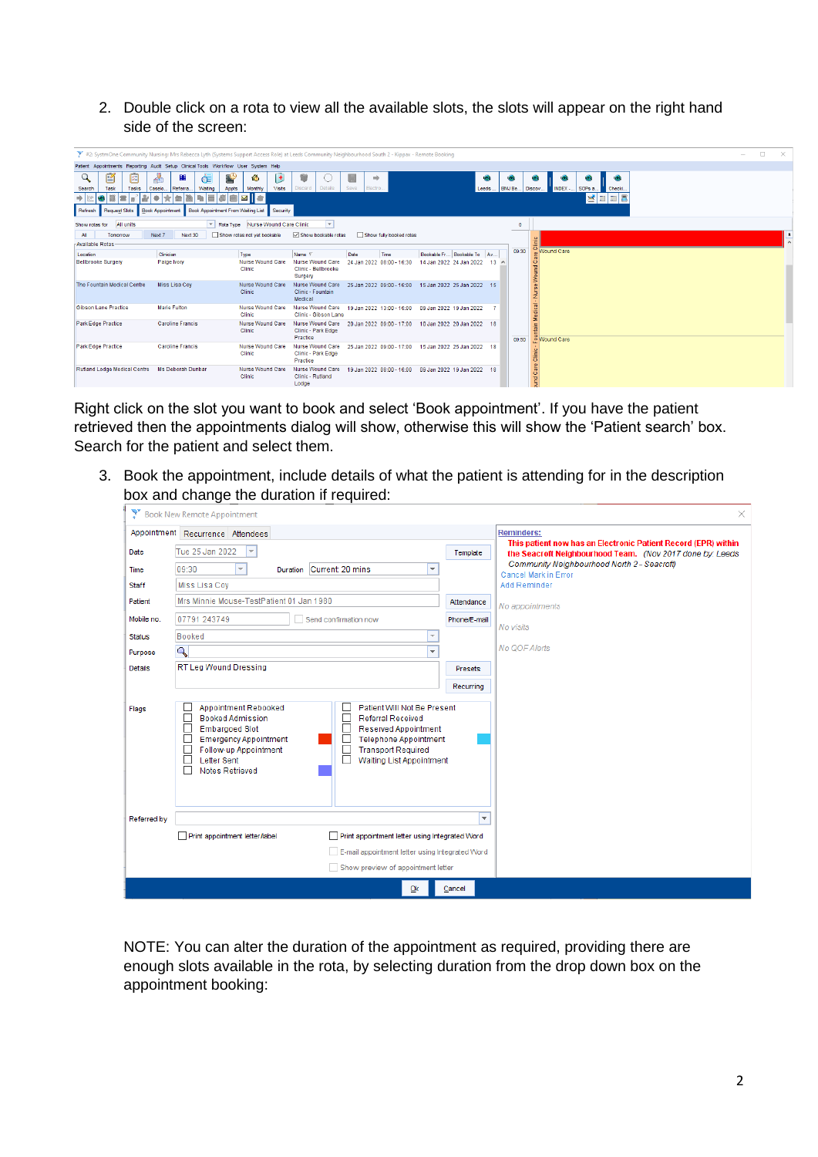2. Double click on a rota to view all the available slots, the slots will appear on the right hand side of the screen:

| #2: SystmOne Community Nursing: Mrs Rebecca Lyth (Systems Support Access Role) at Leeds Community Neighbourhood South 2 - Kippax - Remote Booking |                                          |                                                |                                                    |                                                      |                            |             |         |                                             | $\overline{\phantom{a}}$ | $\Box$ | $\times$ |
|---------------------------------------------------------------------------------------------------------------------------------------------------|------------------------------------------|------------------------------------------------|----------------------------------------------------|------------------------------------------------------|----------------------------|-------------|---------|---------------------------------------------|--------------------------|--------|----------|
| Patient Appointments Reporting Audit Setup Clinical Tools Workflow User System Help                                                               |                                          |                                                |                                                    |                                                      |                            |             |         |                                             |                          |        |          |
| 匫<br>$\mathcal{Q}$<br>圀<br>Tasks<br>Search<br>Task                                                                                                | H<br>Œ<br>Referra.<br>Caselo.<br>Waiting | ⊛<br>H<br>Visits<br>Monthly<br>Appts           | w<br><b>Details</b><br>Discard                     | $\Rightarrow$<br>Save<br>Electro.                    | Leeds                      | <b>VR1</b>  | BMJ Be. | VR.<br>NDEX - SOPs a.<br>Checki.<br>Discov. |                          |        |          |
| $+15$                                                                                                                                             |                                          | $\overline{\mathbf{M}}$<br>le                  |                                                    |                                                      |                            |             |         | <b>ZEEZ</b>                                 |                          |        |          |
| Request Slots<br>Refresh                                                                                                                          | <b>Book Appointment</b>                  | Book Appointment From Waiting List<br>Security |                                                    |                                                      |                            |             |         |                                             |                          |        |          |
| All units<br>Show rotas for                                                                                                                       | $\vert \mathbf{v} \vert$                 | Nurse Wound Care Clinic<br>Rota Type           | $\overline{\phantom{a}}$                           |                                                      |                            |             | $\circ$ |                                             |                          |        |          |
| All<br>Tomorrow                                                                                                                                   | Next 30<br>Next 7                        | Show rotas not yet bookable                    | Show bookable rotas                                | Show fully booked rotas                              |                            |             |         |                                             |                          |        |          |
| Available Rotas                                                                                                                                   |                                          |                                                |                                                    |                                                      |                            |             |         | Ĕ                                           |                          |        |          |
| Location                                                                                                                                          | Clinician                                | Type                                           | Name $\nabla$                                      | Date<br>Time                                         | Bookable Fr Bookable To Av |             | 09:30   | <b>Wound Care</b>                           |                          |        |          |
| Bellbrooke Surgery                                                                                                                                | Paige Ivory                              | Nurse Wound Care<br>Clinic                     | Nurse Wound Care<br>Clinic - Bellbrooke<br>Surgery | 24 Jan 2022 08:00 - 16:30                            | 14 Jan 2022 24 Jan 2022    | $13 \Delta$ |         | Wound                                       |                          |        |          |
| The Fountain Medical Centre                                                                                                                       | Miss Lisa Cov                            | Nurse Wound Care<br>Clinic                     | Nurse Wound Care<br>Clinic - Fountain<br>Medical   | 25 Jan 2022 09:00 - 16:00 15 Jan 2022 25 Jan 2022 15 |                            |             |         |                                             |                          |        |          |
| Gibson Lane Practice                                                                                                                              | Marie Fulton                             | Nurse Wound Care<br>Clinic                     | Nurse Wound Care<br>Clinic - Gibson Lane           | 19 Jan 2022 13:00 - 16:00 09 Jan 2022 19 Jan 2022    |                            |             |         | Medical                                     |                          |        |          |
| Park Edge Practice                                                                                                                                | <b>Caroline Francis</b>                  | Nurse Wound Care<br>Clinic                     | Nurse Wound Care<br>Clinic - Park Edge<br>Practice | 20 Jan 2022 09:00 - 17:00 10 Jan 2022 20 Jan 2022 18 |                            |             | 09:50   | tain<br>o Wound Care                        |                          |        |          |
| Park Edge Practice                                                                                                                                | <b>Caroline Francis</b>                  | Nurse Wound Care<br>Clinic                     | Nurse Wound Care<br>Clinic - Park Edge<br>Practice | 25 Jan 2022 09:00 - 17:00 15 Jan 2022 25 Jan 2022 18 |                            |             |         | <b>Sini</b>                                 |                          |        |          |
| Rutland Lodge Medical Centre                                                                                                                      | Ms Deborah Dunbar                        | Nurse Wound Care<br>Clinic                     | Nurse Wound Care<br>Clinic - Rutland<br>Lodge      | 19 Jan 2022 08:00 - 16:00 09 Jan 2022 19 Jan 2022 18 |                            |             |         | und Care                                    |                          |        |          |

Right click on the slot you want to book and select 'Book appointment'. If you have the patient retrieved then the appointments dialog will show, otherwise this will show the 'Patient search' box. Search for the patient and select them.

3. Book the appointment, include details of what the patient is attending for in the description box and change the duration if required:

|                | Book New Remote Appointment                                                                                                                                                                                                                                                                                                                                   |                         | $\times$                                                                                                                    |
|----------------|---------------------------------------------------------------------------------------------------------------------------------------------------------------------------------------------------------------------------------------------------------------------------------------------------------------------------------------------------------------|-------------------------|-----------------------------------------------------------------------------------------------------------------------------|
|                | Appointment Recurrence Attendees                                                                                                                                                                                                                                                                                                                              |                         | <b>Reminders:</b>                                                                                                           |
| Date           | Tue 25 Jan 2022                                                                                                                                                                                                                                                                                                                                               | Template                | This patient now has an Electronic Patient Record (EPR) within<br>the Seacroft Neighbourhood Team. (Nov 2017 done by: Leeds |
| Time           | 09:30<br>Current: 20 mins<br>$\overline{\nabla}$<br>÷<br>Duration                                                                                                                                                                                                                                                                                             |                         | Community Neighbourhood North 2 - Seacroft)<br>Cancel Mark in Error                                                         |
| Staff          | Miss Lisa Coy                                                                                                                                                                                                                                                                                                                                                 |                         | Add Reminder                                                                                                                |
| Patient        | Mrs Minnie Mouse-TestPatient 01 Jan 1980                                                                                                                                                                                                                                                                                                                      | Attendance              | No appointments                                                                                                             |
| Mobile no.     | 07791 243749<br>Send confirmation now                                                                                                                                                                                                                                                                                                                         | Phone/E-mail            |                                                                                                                             |
| <b>Status</b>  | Booked                                                                                                                                                                                                                                                                                                                                                        |                         | No visits                                                                                                                   |
| Purpose        | $\overline{a}$                                                                                                                                                                                                                                                                                                                                                |                         | No QOF Alerts                                                                                                               |
| <b>Details</b> | <b>RT Leg Wound Dressing</b>                                                                                                                                                                                                                                                                                                                                  | <b>Presets</b>          |                                                                                                                             |
|                |                                                                                                                                                                                                                                                                                                                                                               | Recurring               |                                                                                                                             |
| Flags          | Appointment Rebooked<br>Patient Will Not Be Present<br><b>Booked Admission</b><br><b>Referral Received</b><br><b>Embargoed Slot</b><br>Reserved Appointment<br><b>Emergency Appointment</b><br><b>Telephone Appointment</b><br>Follow-up Appointment<br><b>Transport Required</b><br><b>Letter Sent</b><br><b>Waiting List Appointment</b><br>Notes Retrieved |                         |                                                                                                                             |
| Referred by    |                                                                                                                                                                                                                                                                                                                                                               | $\overline{\mathbf{v}}$ |                                                                                                                             |
|                | Print appointment letter/label<br>Print appointment letter using Integrated Word                                                                                                                                                                                                                                                                              |                         |                                                                                                                             |
|                | E-mail appointment letter using Integrated Word<br>Show preview of appointment letter                                                                                                                                                                                                                                                                         |                         |                                                                                                                             |
|                | Ok                                                                                                                                                                                                                                                                                                                                                            | Cancel                  |                                                                                                                             |

NOTE: You can alter the duration of the appointment as required, providing there are enough slots available in the rota, by selecting duration from the drop down box on the appointment booking: